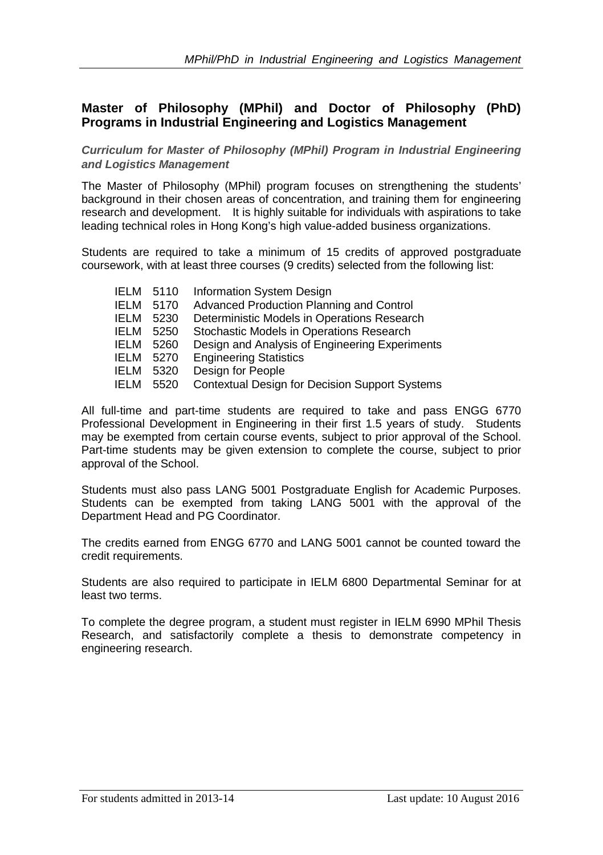## **Master of Philosophy (MPhil) and Doctor of Philosophy (PhD) Programs in Industrial Engineering and Logistics Management**

*Curriculum for Master of Philosophy (MPhil) Program in Industrial Engineering and Logistics Management*

The Master of Philosophy (MPhil) program focuses on strengthening the students' background in their chosen areas of concentration, and training them for engineering research and development. It is highly suitable for individuals with aspirations to take leading technical roles in Hong Kong's high value-added business organizations.

Students are required to take a minimum of 15 credits of approved postgraduate coursework, with at least three courses (9 credits) selected from the following list:

| IELM | 5110 | Information System Design                      |
|------|------|------------------------------------------------|
| IELM | 5170 | Advanced Production Planning and Control       |
| IELM | 5230 | Deterministic Models in Operations Research    |
| IELM | 5250 | Stochastic Models in Operations Research       |
| IELM | 5260 | Design and Analysis of Engineering Experiments |
| IELM | 5270 | <b>Engineering Statistics</b>                  |
| IELM | 5320 | Design for People                              |
| IELM | 5520 | Contextual Design for Decision Support Systems |
|      |      |                                                |

All full-time and part-time students are required to take and pass ENGG 6770 Professional Development in Engineering in their first 1.5 years of study. Students may be exempted from certain course events, subject to prior approval of the School. Part-time students may be given extension to complete the course, subject to prior approval of the School.

Students must also pass LANG 5001 Postgraduate English for Academic Purposes. Students can be exempted from taking LANG 5001 with the approval of the Department Head and PG Coordinator.

The credits earned from ENGG 6770 and LANG 5001 cannot be counted toward the credit requirements.

Students are also required to participate in IELM 6800 Departmental Seminar for at least two terms.

To complete the degree program, a student must register in IELM 6990 MPhil Thesis Research, and satisfactorily complete a thesis to demonstrate competency in engineering research.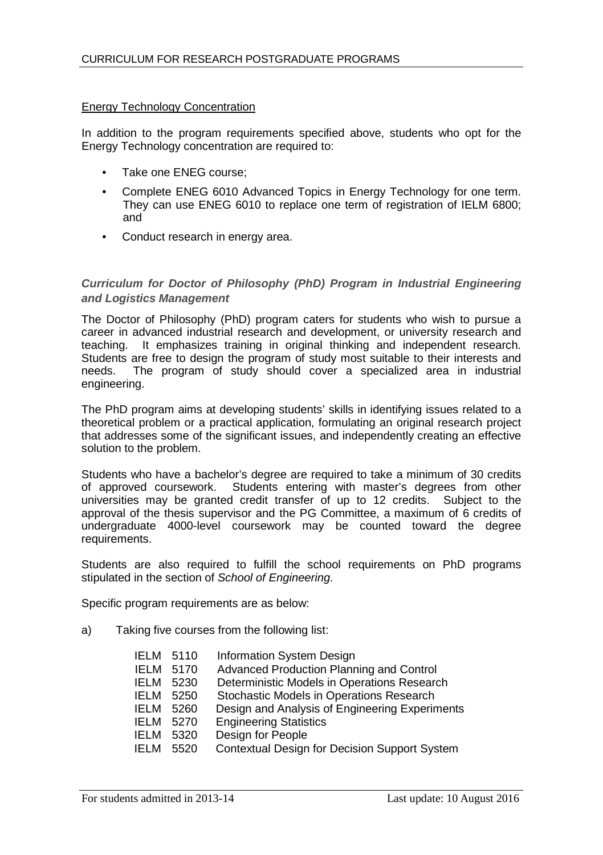## Energy Technology Concentration

In addition to the program requirements specified above, students who opt for the Energy Technology concentration are required to:

- Take one ENEG course:
- Complete ENEG 6010 Advanced Topics in Energy Technology for one term. They can use ENEG 6010 to replace one term of registration of IELM 6800; and
- Conduct research in energy area.

## *Curriculum for Doctor of Philosophy (PhD) Program in Industrial Engineering and Logistics Management*

The Doctor of Philosophy (PhD) program caters for students who wish to pursue a career in advanced industrial research and development, or university research and teaching. It emphasizes training in original thinking and independent research. Students are free to design the program of study most suitable to their interests and needs. The program of study should cover a specialized area in industrial The program of study should cover a specialized area in industrial engineering.

The PhD program aims at developing students' skills in identifying issues related to a theoretical problem or a practical application, formulating an original research project that addresses some of the significant issues, and independently creating an effective solution to the problem.

Students who have a bachelor's degree are required to take a minimum of 30 credits of approved coursework. Students entering with master's degrees from other universities may be granted credit transfer of up to 12 credits. Subject to the approval of the thesis supervisor and the PG Committee, a maximum of 6 credits of undergraduate 4000-level coursework may be counted toward the degree requirements.

Students are also required to fulfill the school requirements on PhD programs stipulated in the section of *School of Engineering*.

Specific program requirements are as below:

a) Taking five courses from the following list:

| IFI M       | 5110 | Information System Design                      |
|-------------|------|------------------------------------------------|
| IELM        | 5170 | Advanced Production Planning and Control       |
| <b>IELM</b> | 5230 | Deterministic Models in Operations Research    |
| <b>IELM</b> | 5250 | Stochastic Models in Operations Research       |
| <b>IELM</b> | 5260 | Design and Analysis of Engineering Experiments |
| IFI M       | 5270 | <b>Engineering Statistics</b>                  |
| IELM        | 5320 | Design for People                              |
| IFI M       | 5520 | Contextual Design for Decision Support System  |
|             |      |                                                |